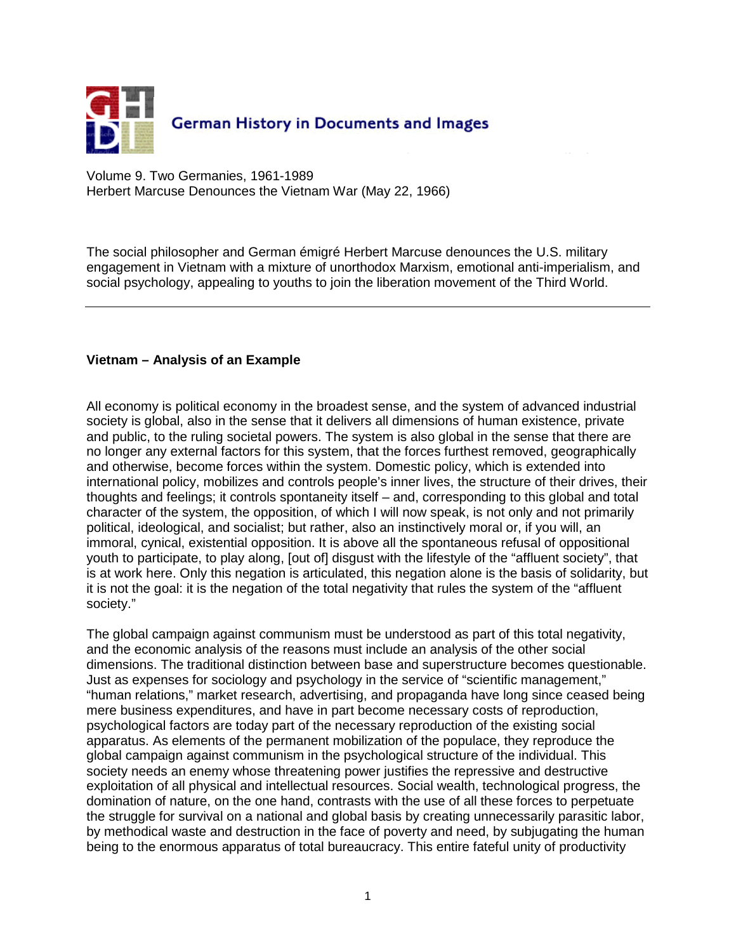

Volume 9. Two Germanies, 1961-1989 Herbert Marcuse Denounces the Vietnam War (May 22, 1966)

The social philosopher and German émigré Herbert Marcuse denounces the U.S. military engagement in Vietnam with a mixture of unorthodox Marxism, emotional anti-imperialism, and social psychology, appealing to youths to join the liberation movement of the Third World.

## **Vietnam – Analysis of an Example**

All economy is political economy in the broadest sense, and the system of advanced industrial society is global, also in the sense that it delivers all dimensions of human existence, private and public, to the ruling societal powers. The system is also global in the sense that there are no longer any external factors for this system, that the forces furthest removed, geographically and otherwise, become forces within the system. Domestic policy, which is extended into international policy, mobilizes and controls people's inner lives, the structure of their drives, their thoughts and feelings; it controls spontaneity itself – and, corresponding to this global and total character of the system, the opposition, of which I will now speak, is not only and not primarily political, ideological, and socialist; but rather, also an instinctively moral or, if you will, an immoral, cynical, existential opposition. It is above all the spontaneous refusal of oppositional youth to participate, to play along, [out of] disgust with the lifestyle of the "affluent society", that is at work here. Only this negation is articulated, this negation alone is the basis of solidarity, but it is not the goal: it is the negation of the total negativity that rules the system of the "affluent society."

The global campaign against communism must be understood as part of this total negativity, and the economic analysis of the reasons must include an analysis of the other social dimensions. The traditional distinction between base and superstructure becomes questionable. Just as expenses for sociology and psychology in the service of "scientific management," "human relations," market research, advertising, and propaganda have long since ceased being mere business expenditures, and have in part become necessary costs of reproduction, psychological factors are today part of the necessary reproduction of the existing social apparatus. As elements of the permanent mobilization of the populace, they reproduce the global campaign against communism in the psychological structure of the individual. This society needs an enemy whose threatening power justifies the repressive and destructive exploitation of all physical and intellectual resources. Social wealth, technological progress, the domination of nature, on the one hand, contrasts with the use of all these forces to perpetuate the struggle for survival on a national and global basis by creating unnecessarily parasitic labor, by methodical waste and destruction in the face of poverty and need, by subjugating the human being to the enormous apparatus of total bureaucracy. This entire fateful unity of productivity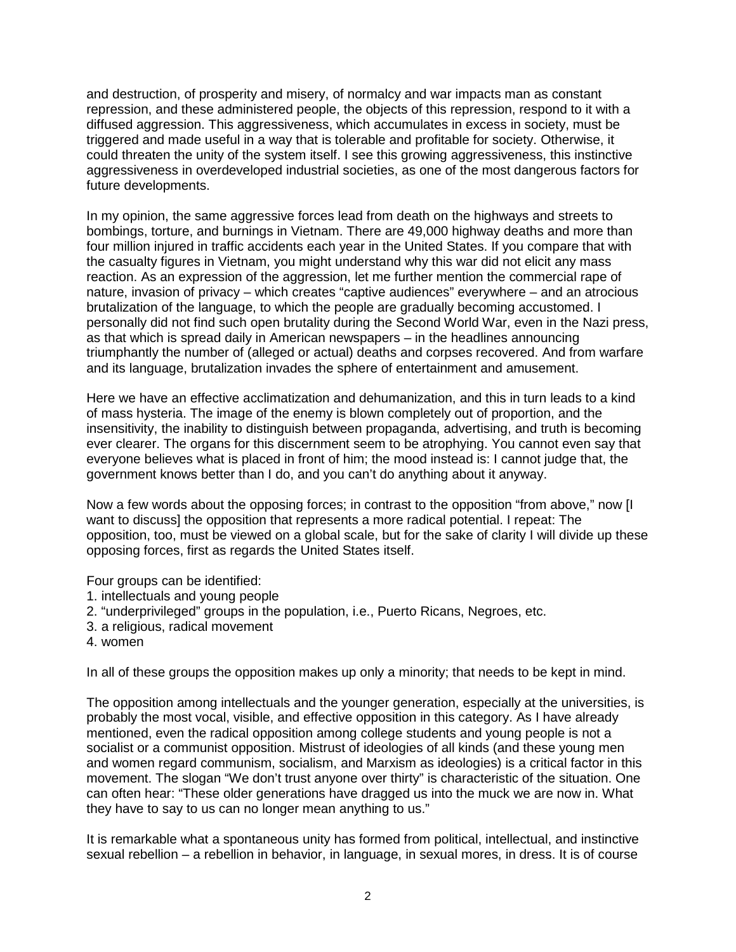and destruction, of prosperity and misery, of normalcy and war impacts man as constant repression, and these administered people, the objects of this repression, respond to it with a diffused aggression. This aggressiveness, which accumulates in excess in society, must be triggered and made useful in a way that is tolerable and profitable for society. Otherwise, it could threaten the unity of the system itself. I see this growing aggressiveness, this instinctive aggressiveness in overdeveloped industrial societies, as one of the most dangerous factors for future developments.

In my opinion, the same aggressive forces lead from death on the highways and streets to bombings, torture, and burnings in Vietnam. There are 49,000 highway deaths and more than four million injured in traffic accidents each year in the United States. If you compare that with the casualty figures in Vietnam, you might understand why this war did not elicit any mass reaction. As an expression of the aggression, let me further mention the commercial rape of nature, invasion of privacy – which creates "captive audiences" everywhere – and an atrocious brutalization of the language, to which the people are gradually becoming accustomed. I personally did not find such open brutality during the Second World War, even in the Nazi press, as that which is spread daily in American newspapers – in the headlines announcing triumphantly the number of (alleged or actual) deaths and corpses recovered. And from warfare and its language, brutalization invades the sphere of entertainment and amusement.

Here we have an effective acclimatization and dehumanization, and this in turn leads to a kind of mass hysteria. The image of the enemy is blown completely out of proportion, and the insensitivity, the inability to distinguish between propaganda, advertising, and truth is becoming ever clearer. The organs for this discernment seem to be atrophying. You cannot even say that everyone believes what is placed in front of him; the mood instead is: I cannot judge that, the government knows better than I do, and you can't do anything about it anyway.

Now a few words about the opposing forces; in contrast to the opposition "from above," now [I want to discuss] the opposition that represents a more radical potential. I repeat: The opposition, too, must be viewed on a global scale, but for the sake of clarity I will divide up these opposing forces, first as regards the United States itself.

Four groups can be identified:

- 1. intellectuals and young people
- 2. "underprivileged" groups in the population, i.e., Puerto Ricans, Negroes, etc.
- 3. a religious, radical movement
- 4. women

In all of these groups the opposition makes up only a minority; that needs to be kept in mind.

The opposition among intellectuals and the younger generation, especially at the universities, is probably the most vocal, visible, and effective opposition in this category. As I have already mentioned, even the radical opposition among college students and young people is not a socialist or a communist opposition. Mistrust of ideologies of all kinds (and these young men and women regard communism, socialism, and Marxism as ideologies) is a critical factor in this movement. The slogan "We don't trust anyone over thirty" is characteristic of the situation. One can often hear: "These older generations have dragged us into the muck we are now in. What they have to say to us can no longer mean anything to us."

It is remarkable what a spontaneous unity has formed from political, intellectual, and instinctive sexual rebellion – a rebellion in behavior, in language, in sexual mores, in dress. It is of course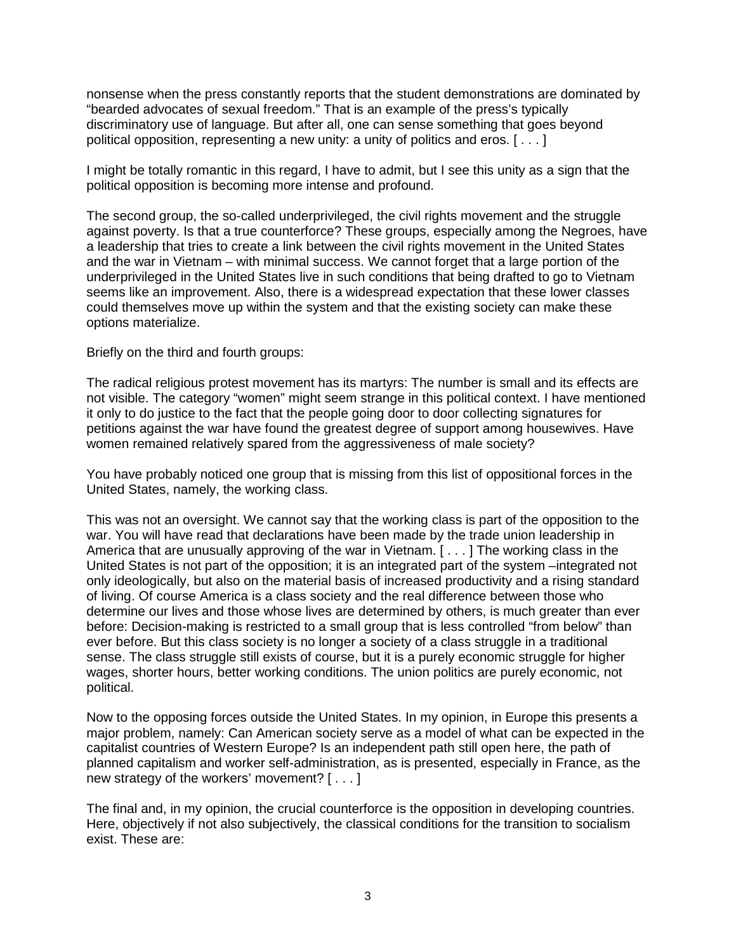nonsense when the press constantly reports that the student demonstrations are dominated by "bearded advocates of sexual freedom." That is an example of the press's typically discriminatory use of language. But after all, one can sense something that goes beyond political opposition, representing a new unity: a unity of politics and eros. [ . . . ]

I might be totally romantic in this regard, I have to admit, but I see this unity as a sign that the political opposition is becoming more intense and profound.

The second group, the so-called underprivileged, the civil rights movement and the struggle against poverty. Is that a true counterforce? These groups, especially among the Negroes, have a leadership that tries to create a link between the civil rights movement in the United States and the war in Vietnam – with minimal success. We cannot forget that a large portion of the underprivileged in the United States live in such conditions that being drafted to go to Vietnam seems like an improvement. Also, there is a widespread expectation that these lower classes could themselves move up within the system and that the existing society can make these options materialize.

Briefly on the third and fourth groups:

The radical religious protest movement has its martyrs: The number is small and its effects are not visible. The category "women" might seem strange in this political context. I have mentioned it only to do justice to the fact that the people going door to door collecting signatures for petitions against the war have found the greatest degree of support among housewives. Have women remained relatively spared from the aggressiveness of male society?

You have probably noticed one group that is missing from this list of oppositional forces in the United States, namely, the working class.

This was not an oversight. We cannot say that the working class is part of the opposition to the war. You will have read that declarations have been made by the trade union leadership in America that are unusually approving of the war in Vietnam. [ . . . ] The working class in the United States is not part of the opposition; it is an integrated part of the system –integrated not only ideologically, but also on the material basis of increased productivity and a rising standard of living. Of course America is a class society and the real difference between those who determine our lives and those whose lives are determined by others, is much greater than ever before: Decision-making is restricted to a small group that is less controlled "from below" than ever before. But this class society is no longer a society of a class struggle in a traditional sense. The class struggle still exists of course, but it is a purely economic struggle for higher wages, shorter hours, better working conditions. The union politics are purely economic, not political.

Now to the opposing forces outside the United States. In my opinion, in Europe this presents a major problem, namely: Can American society serve as a model of what can be expected in the capitalist countries of Western Europe? Is an independent path still open here, the path of planned capitalism and worker self-administration, as is presented, especially in France, as the new strategy of the workers' movement? [ . . . ]

The final and, in my opinion, the crucial counterforce is the opposition in developing countries. Here, objectively if not also subjectively, the classical conditions for the transition to socialism exist. These are: